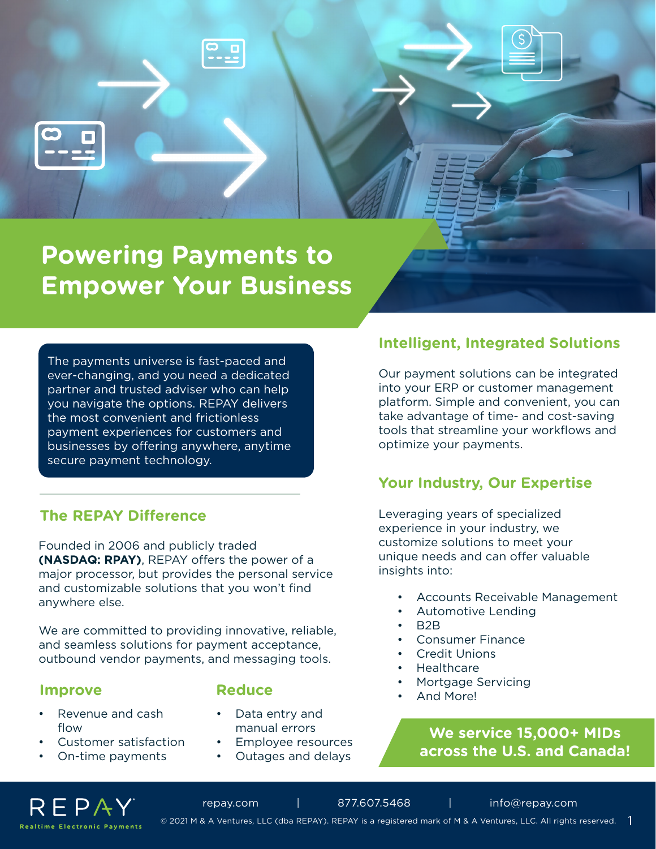# **Powering Payments to Empower Your Business**

The payments universe is fast-paced and ever-changing, and you need a dedicated partner and trusted adviser who can help you navigate the options. REPAY delivers the most convenient and frictionless payment experiences for customers and businesses by offering anywhere, anytime secure payment technology.

#### **The REPAY Difference**

Founded in 2006 and publicly traded **(NASDAQ: RPAY)**, REPAY offers the power of a major processor, but provides the personal service and customizable solutions that you won't find anywhere else.

We are committed to providing innovative, reliable, and seamless solutions for payment acceptance, outbound vendor payments, and messaging tools.

#### **Improve** Reduce

- Revenue and cash flow
- Customer satisfaction
- On-time payments

- Data entry and manual errors
- Employee resources
- Outages and delays

## **Intelligent, Integrated Solutions**

Our payment solutions can be integrated into your ERP or customer management platform. Simple and convenient, you can take advantage of time- and cost-saving tools that streamline your workflows and optimize your payments.

#### **Your Industry, Our Expertise**

Leveraging years of specialized experience in your industry, we customize solutions to meet your unique needs and can offer valuable insights into:

- Accounts Receivable Management
- Automotive Lending
- B2B
- Consumer Finance
- **Credit Unions**
- **Healthcare**
- Mortgage Servicing
- And More!

#### **We service 15,000+ MIDs across the U.S. and Canada!**



repay.com | 877.607.5468 | [info@repay.com](mailto:info%40repay.com?subject=) | 877.607.5468 | info@repay.com<br>© 2021 M & A Ventures, LLC (dba REPAY). REPAY is a registered mark of M & A Ventures, LLC. All rights reserved.